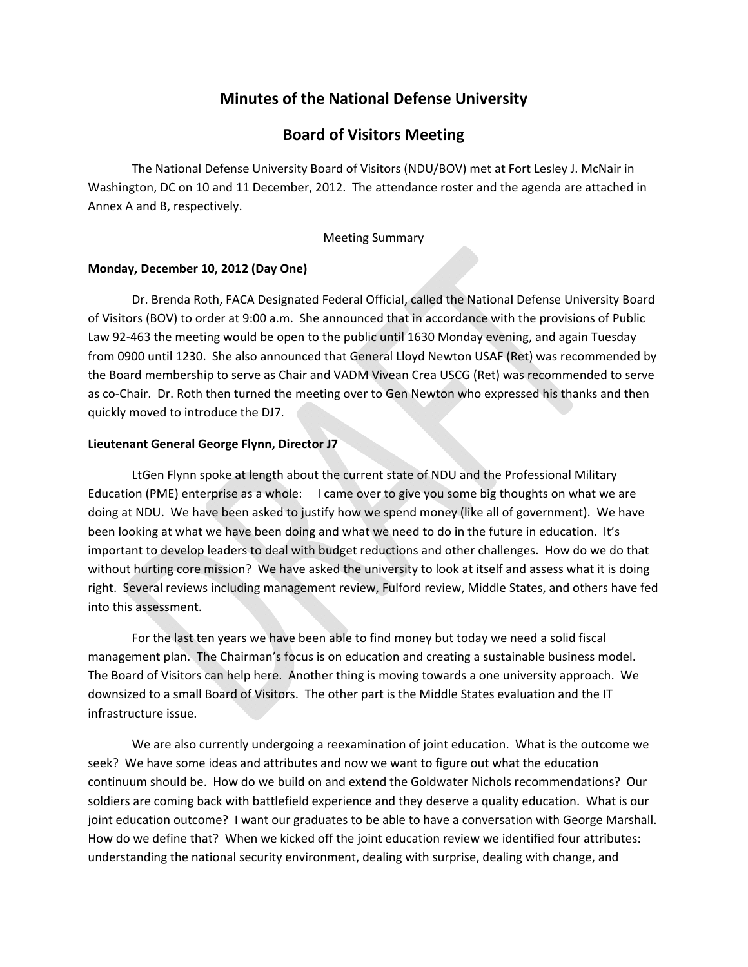## **Minutes of the National Defense University**

## **Board of Visitors Meeting**

The National Defense University Board of Visitors (NDU/BOV) met at Fort Lesley J. McNair in Washington, DC on 10 and 11 December, 2012. The attendance roster and the agenda are attached in Annex A and B, respectively.

#### Meeting Summary

#### **Monday, December 10, 2012 (Day One)**

Dr. Brenda Roth, FACA Designated Federal Official, called the National Defense University Board of Visitors (BOV) to order at 9:00 a.m. She announced that in accordance with the provisions of Public Law 92-463 the meeting would be open to the public until 1630 Monday evening, and again Tuesday from 0900 until 1230. She also announced that General Lloyd Newton USAF (Ret) was recommended by the Board membership to serve as Chair and VADM Vivean Crea USCG (Ret) was recommended to serve as co-Chair. Dr. Roth then turned the meeting over to Gen Newton who expressed his thanks and then quickly moved to introduce the DJ7.

#### **Lieutenant General George Flynn, Director J7**

LtGen Flynn spoke at length about the current state of NDU and the Professional Military Education (PME) enterprise as a whole: I came over to give you some big thoughts on what we are doing at NDU. We have been asked to justify how we spend money (like all of government). We have been looking at what we have been doing and what we need to do in the future in education. It's important to develop leaders to deal with budget reductions and other challenges. How do we do that without hurting core mission? We have asked the university to look at itself and assess what it is doing right. Several reviews including management review, Fulford review, Middle States, and others have fed into this assessment.

For the last ten years we have been able to find money but today we need a solid fiscal management plan. The Chairman's focus is on education and creating a sustainable business model. The Board of Visitors can help here. Another thing is moving towards a one university approach. We downsized to a small Board of Visitors. The other part is the Middle States evaluation and the IT infrastructure issue.

We are also currently undergoing a reexamination of joint education. What is the outcome we seek? We have some ideas and attributes and now we want to figure out what the education continuum should be. How do we build on and extend the Goldwater Nichols recommendations? Our soldiers are coming back with battlefield experience and they deserve a quality education. What is our joint education outcome? I want our graduates to be able to have a conversation with George Marshall. How do we define that? When we kicked off the joint education review we identified four attributes: understanding the national security environment, dealing with surprise, dealing with change, and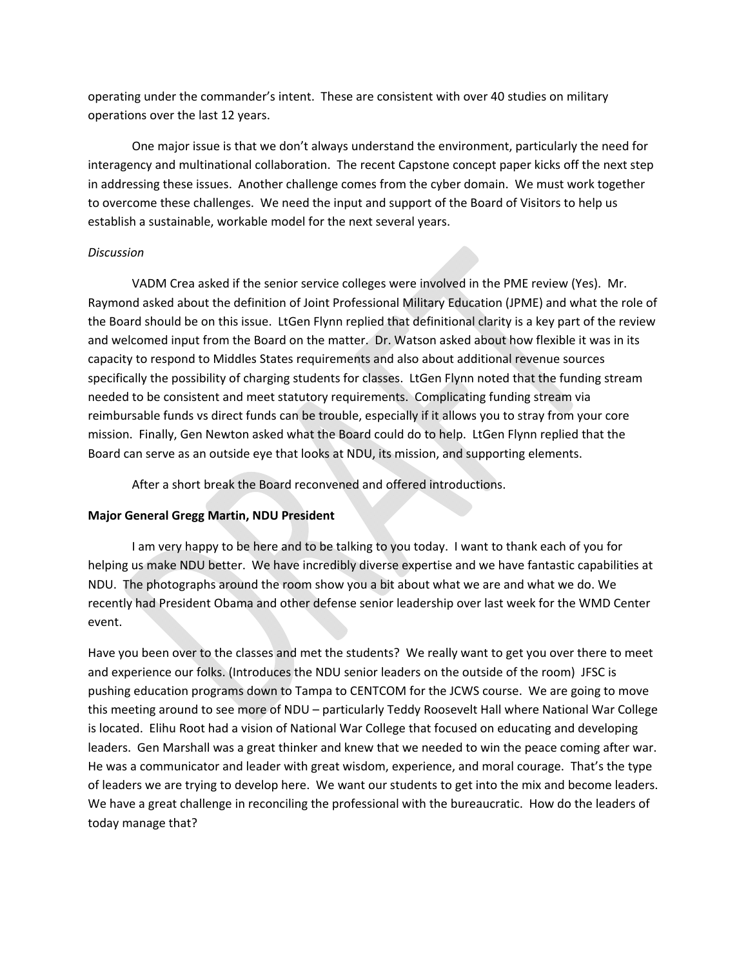operating under the commander's intent. These are consistent with over 40 studies on military operations over the last 12 years.

One major issue is that we don't always understand the environment, particularly the need for interagency and multinational collaboration. The recent Capstone concept paper kicks off the next step in addressing these issues. Another challenge comes from the cyber domain. We must work together to overcome these challenges. We need the input and support of the Board of Visitors to help us establish a sustainable, workable model for the next several years.

#### *Discussion*

VADM Crea asked if the senior service colleges were involved in the PME review (Yes). Mr. Raymond asked about the definition of Joint Professional Military Education (JPME) and what the role of the Board should be on this issue. LtGen Flynn replied that definitional clarity is a key part of the review and welcomed input from the Board on the matter. Dr. Watson asked about how flexible it was in its capacity to respond to Middles States requirements and also about additional revenue sources specifically the possibility of charging students for classes. LtGen Flynn noted that the funding stream needed to be consistent and meet statutory requirements. Complicating funding stream via reimbursable funds vs direct funds can be trouble, especially if it allows you to stray from your core mission. Finally, Gen Newton asked what the Board could do to help. LtGen Flynn replied that the Board can serve as an outside eye that looks at NDU, its mission, and supporting elements.

After a short break the Board reconvened and offered introductions.

#### **Major General Gregg Martin, NDU President**

I am very happy to be here and to be talking to you today. I want to thank each of you for helping us make NDU better. We have incredibly diverse expertise and we have fantastic capabilities at NDU. The photographs around the room show you a bit about what we are and what we do. We recently had President Obama and other defense senior leadership over last week for the WMD Center event.

Have you been over to the classes and met the students? We really want to get you over there to meet and experience our folks. (Introduces the NDU senior leaders on the outside of the room) JFSC is pushing education programs down to Tampa to CENTCOM for the JCWS course. We are going to move this meeting around to see more of NDU – particularly Teddy Roosevelt Hall where National War College is located. Elihu Root had a vision of National War College that focused on educating and developing leaders. Gen Marshall was a great thinker and knew that we needed to win the peace coming after war. He was a communicator and leader with great wisdom, experience, and moral courage. That's the type of leaders we are trying to develop here. We want our students to get into the mix and become leaders. We have a great challenge in reconciling the professional with the bureaucratic. How do the leaders of today manage that?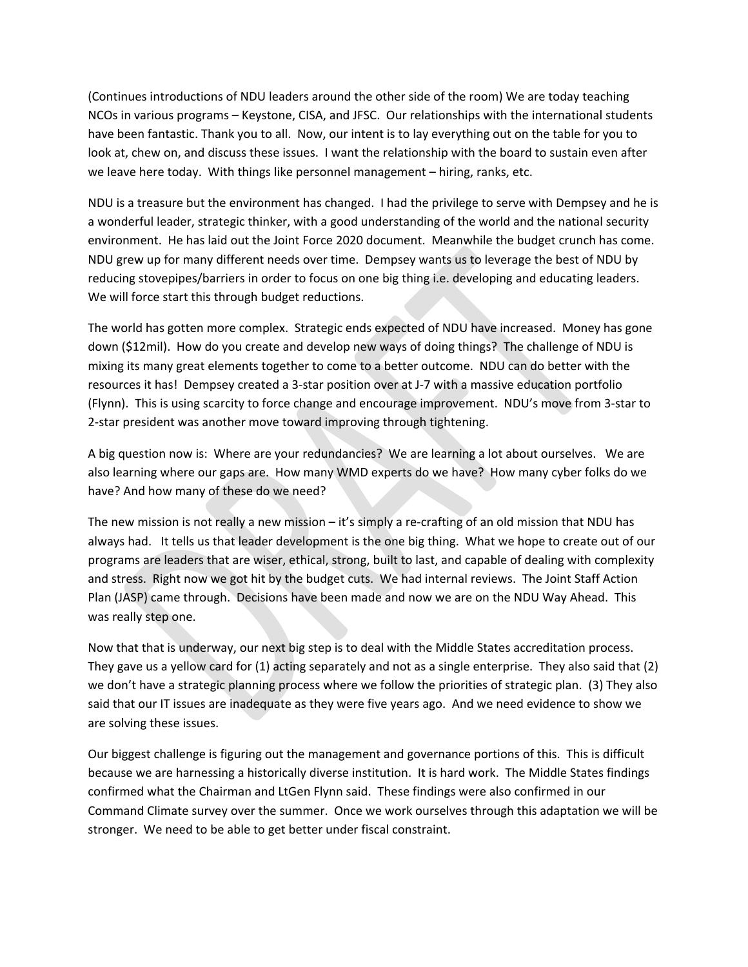(Continues introductions of NDU leaders around the other side of the room) We are today teaching NCOs in various programs – Keystone, CISA, and JFSC. Our relationships with the international students have been fantastic. Thank you to all. Now, our intent is to lay everything out on the table for you to look at, chew on, and discuss these issues. I want the relationship with the board to sustain even after we leave here today. With things like personnel management – hiring, ranks, etc.

NDU is a treasure but the environment has changed. I had the privilege to serve with Dempsey and he is a wonderful leader, strategic thinker, with a good understanding of the world and the national security environment. He has laid out the Joint Force 2020 document. Meanwhile the budget crunch has come. NDU grew up for many different needs over time. Dempsey wants us to leverage the best of NDU by reducing stovepipes/barriers in order to focus on one big thing i.e. developing and educating leaders. We will force start this through budget reductions.

The world has gotten more complex. Strategic ends expected of NDU have increased. Money has gone down (\$12mil). How do you create and develop new ways of doing things? The challenge of NDU is mixing its many great elements together to come to a better outcome. NDU can do better with the resources it has! Dempsey created a 3‐star position over at J‐7 with a massive education portfolio (Flynn). This is using scarcity to force change and encourage improvement. NDU's move from 3‐star to 2‐star president was another move toward improving through tightening.

A big question now is: Where are your redundancies? We are learning a lot about ourselves. We are also learning where our gaps are. How many WMD experts do we have? How many cyber folks do we have? And how many of these do we need?

The new mission is not really a new mission – it's simply a re-crafting of an old mission that NDU has always had. It tells us that leader development is the one big thing. What we hope to create out of our programs are leaders that are wiser, ethical, strong, built to last, and capable of dealing with complexity and stress. Right now we got hit by the budget cuts. We had internal reviews. The Joint Staff Action Plan (JASP) came through. Decisions have been made and now we are on the NDU Way Ahead. This was really step one.

Now that that is underway, our next big step is to deal with the Middle States accreditation process. They gave us a yellow card for (1) acting separately and not as a single enterprise. They also said that (2) we don't have a strategic planning process where we follow the priorities of strategic plan. (3) They also said that our IT issues are inadequate as they were five years ago. And we need evidence to show we are solving these issues.

Our biggest challenge is figuring out the management and governance portions of this. This is difficult because we are harnessing a historically diverse institution. It is hard work. The Middle States findings confirmed what the Chairman and LtGen Flynn said. These findings were also confirmed in our Command Climate survey over the summer. Once we work ourselves through this adaptation we will be stronger. We need to be able to get better under fiscal constraint.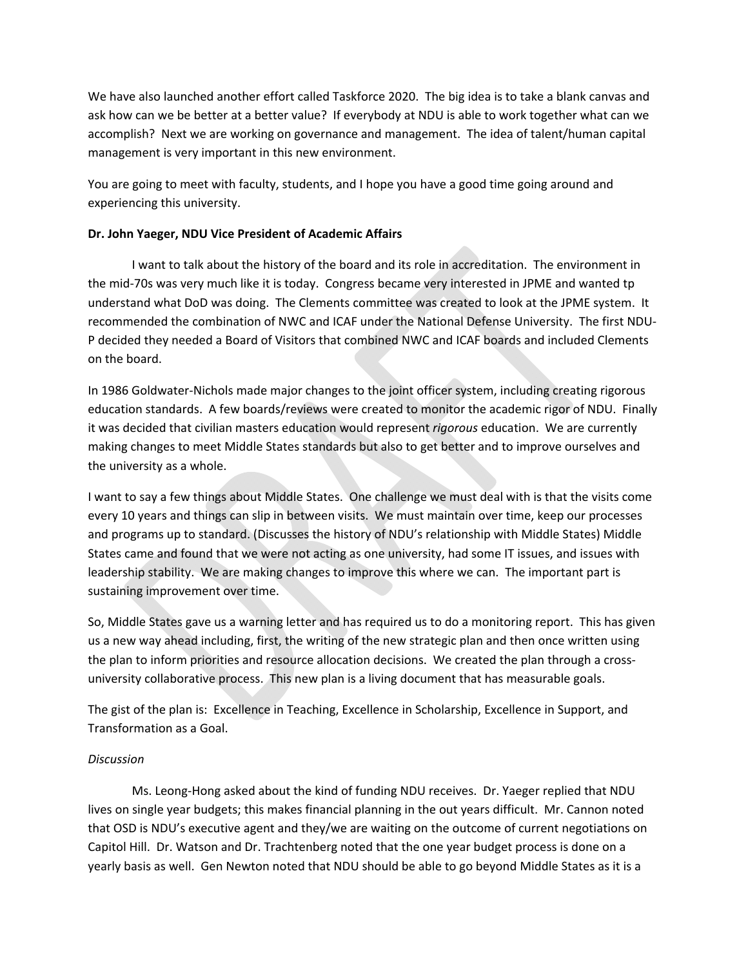We have also launched another effort called Taskforce 2020. The big idea is to take a blank canvas and ask how can we be better at a better value? If everybody at NDU is able to work together what can we accomplish? Next we are working on governance and management. The idea of talent/human capital management is very important in this new environment.

You are going to meet with faculty, students, and I hope you have a good time going around and experiencing this university.

#### **Dr. John Yaeger, NDU Vice President of Academic Affairs**

I want to talk about the history of the board and its role in accreditation. The environment in the mid‐70s was very much like it is today. Congress became very interested in JPME and wanted tp understand what DoD was doing. The Clements committee was created to look at the JPME system. It recommended the combination of NWC and ICAF under the National Defense University. The first NDU‐ P decided they needed a Board of Visitors that combined NWC and ICAF boards and included Clements on the board.

In 1986 Goldwater-Nichols made major changes to the joint officer system, including creating rigorous education standards. A few boards/reviews were created to monitor the academic rigor of NDU. Finally it was decided that civilian masters education would represent *rigorous* education. We are currently making changes to meet Middle States standards but also to get better and to improve ourselves and the university as a whole.

I want to say a few things about Middle States. One challenge we must deal with is that the visits come every 10 years and things can slip in between visits. We must maintain over time, keep our processes and programs up to standard. (Discusses the history of NDU's relationship with Middle States) Middle States came and found that we were not acting as one university, had some IT issues, and issues with leadership stability. We are making changes to improve this where we can. The important part is sustaining improvement over time.

So, Middle States gave us a warning letter and has required us to do a monitoring report. This has given us a new way ahead including, first, the writing of the new strategic plan and then once written using the plan to inform priorities and resource allocation decisions. We created the plan through a crossuniversity collaborative process. This new plan is a living document that has measurable goals.

The gist of the plan is: Excellence in Teaching, Excellence in Scholarship, Excellence in Support, and Transformation as a Goal.

### *Discussion*

Ms. Leong‐Hong asked about the kind of funding NDU receives. Dr. Yaeger replied that NDU lives on single year budgets; this makes financial planning in the out years difficult. Mr. Cannon noted that OSD is NDU's executive agent and they/we are waiting on the outcome of current negotiations on Capitol Hill. Dr. Watson and Dr. Trachtenberg noted that the one year budget process is done on a yearly basis as well. Gen Newton noted that NDU should be able to go beyond Middle States as it is a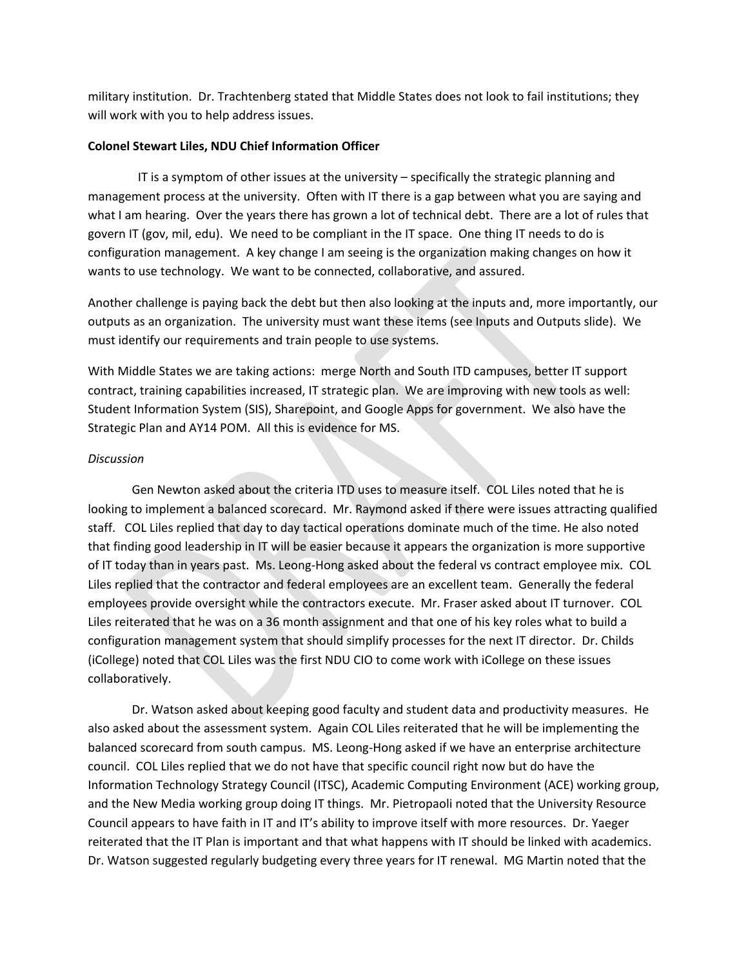military institution. Dr. Trachtenberg stated that Middle States does not look to fail institutions; they will work with you to help address issues.

#### **Colonel Stewart Liles, NDU Chief Information Officer**

 IT is a symptom of other issues at the university – specifically the strategic planning and management process at the university. Often with IT there is a gap between what you are saying and what I am hearing. Over the years there has grown a lot of technical debt. There are a lot of rules that govern IT (gov, mil, edu). We need to be compliant in the IT space. One thing IT needs to do is configuration management. A key change I am seeing is the organization making changes on how it wants to use technology. We want to be connected, collaborative, and assured.

Another challenge is paying back the debt but then also looking at the inputs and, more importantly, our outputs as an organization. The university must want these items (see Inputs and Outputs slide). We must identify our requirements and train people to use systems.

With Middle States we are taking actions: merge North and South ITD campuses, better IT support contract, training capabilities increased, IT strategic plan. We are improving with new tools as well: Student Information System (SIS), Sharepoint, and Google Apps for government. We also have the Strategic Plan and AY14 POM. All this is evidence for MS.

#### *Discussion*

Gen Newton asked about the criteria ITD uses to measure itself. COL Liles noted that he is looking to implement a balanced scorecard. Mr. Raymond asked if there were issues attracting qualified staff. COL Liles replied that day to day tactical operations dominate much of the time. He also noted that finding good leadership in IT will be easier because it appears the organization is more supportive of IT today than in years past. Ms. Leong‐Hong asked about the federal vs contract employee mix. COL Liles replied that the contractor and federal employees are an excellent team. Generally the federal employees provide oversight while the contractors execute. Mr. Fraser asked about IT turnover. COL Liles reiterated that he was on a 36 month assignment and that one of his key roles what to build a configuration management system that should simplify processes for the next IT director. Dr. Childs (iCollege) noted that COL Liles was the first NDU CIO to come work with iCollege on these issues collaboratively.

Dr. Watson asked about keeping good faculty and student data and productivity measures. He also asked about the assessment system. Again COL Liles reiterated that he will be implementing the balanced scorecard from south campus. MS. Leong‐Hong asked if we have an enterprise architecture council. COL Liles replied that we do not have that specific council right now but do have the Information Technology Strategy Council (ITSC), Academic Computing Environment (ACE) working group, and the New Media working group doing IT things. Mr. Pietropaoli noted that the University Resource Council appears to have faith in IT and IT's ability to improve itself with more resources. Dr. Yaeger reiterated that the IT Plan is important and that what happens with IT should be linked with academics. Dr. Watson suggested regularly budgeting every three years for IT renewal. MG Martin noted that the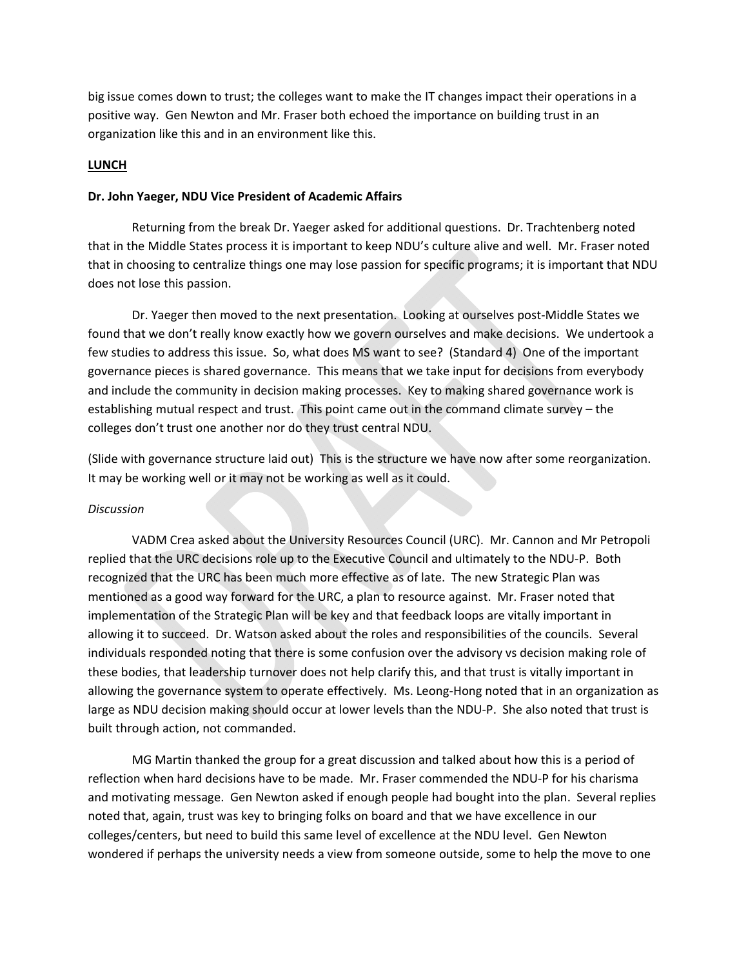big issue comes down to trust; the colleges want to make the IT changes impact their operations in a positive way. Gen Newton and Mr. Fraser both echoed the importance on building trust in an organization like this and in an environment like this.

#### **LUNCH**

#### **Dr. John Yaeger, NDU Vice President of Academic Affairs**

Returning from the break Dr. Yaeger asked for additional questions. Dr. Trachtenberg noted that in the Middle States process it is important to keep NDU's culture alive and well. Mr. Fraser noted that in choosing to centralize things one may lose passion for specific programs; it is important that NDU does not lose this passion.

Dr. Yaeger then moved to the next presentation. Looking at ourselves post-Middle States we found that we don't really know exactly how we govern ourselves and make decisions. We undertook a few studies to address this issue. So, what does MS want to see? (Standard 4) One of the important governance pieces is shared governance. This means that we take input for decisions from everybody and include the community in decision making processes. Key to making shared governance work is establishing mutual respect and trust. This point came out in the command climate survey – the colleges don't trust one another nor do they trust central NDU.

(Slide with governance structure laid out) This is the structure we have now after some reorganization. It may be working well or it may not be working as well as it could.

#### *Discussion*

VADM Crea asked about the University Resources Council (URC). Mr. Cannon and Mr Petropoli replied that the URC decisions role up to the Executive Council and ultimately to the NDU‐P. Both recognized that the URC has been much more effective as of late. The new Strategic Plan was mentioned as a good way forward for the URC, a plan to resource against. Mr. Fraser noted that implementation of the Strategic Plan will be key and that feedback loops are vitally important in allowing it to succeed. Dr. Watson asked about the roles and responsibilities of the councils. Several individuals responded noting that there is some confusion over the advisory vs decision making role of these bodies, that leadership turnover does not help clarify this, and that trust is vitally important in allowing the governance system to operate effectively. Ms. Leong‐Hong noted that in an organization as large as NDU decision making should occur at lower levels than the NDU-P. She also noted that trust is built through action, not commanded.

MG Martin thanked the group for a great discussion and talked about how this is a period of reflection when hard decisions have to be made. Mr. Fraser commended the NDU‐P for his charisma and motivating message. Gen Newton asked if enough people had bought into the plan. Several replies noted that, again, trust was key to bringing folks on board and that we have excellence in our colleges/centers, but need to build this same level of excellence at the NDU level. Gen Newton wondered if perhaps the university needs a view from someone outside, some to help the move to one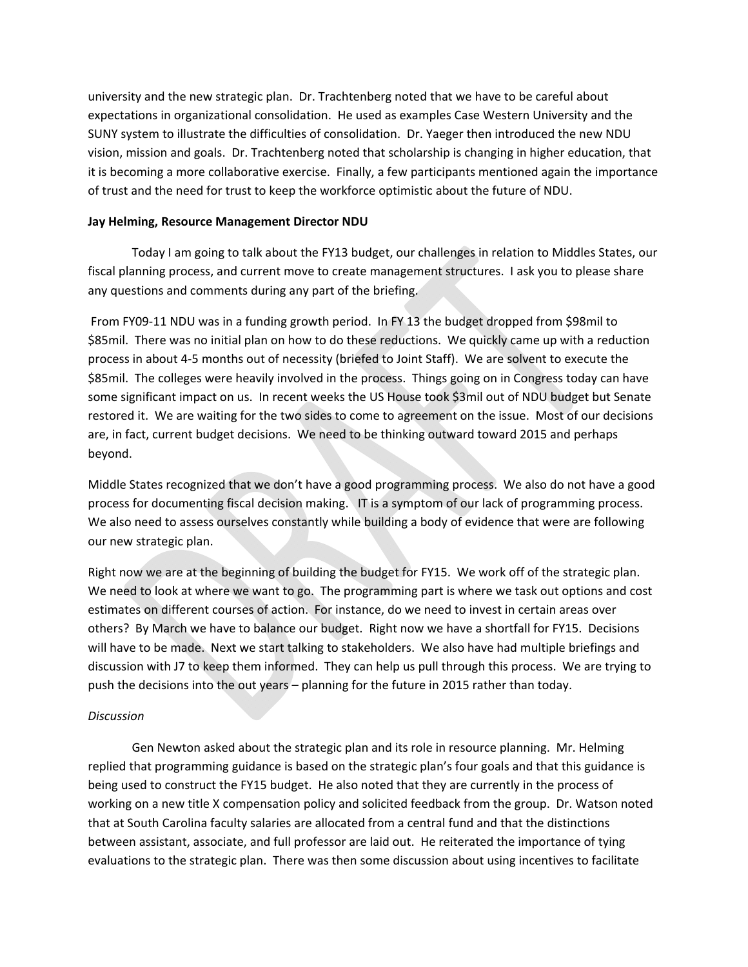university and the new strategic plan. Dr. Trachtenberg noted that we have to be careful about expectations in organizational consolidation. He used as examples Case Western University and the SUNY system to illustrate the difficulties of consolidation. Dr. Yaeger then introduced the new NDU vision, mission and goals. Dr. Trachtenberg noted that scholarship is changing in higher education, that it is becoming a more collaborative exercise. Finally, a few participants mentioned again the importance of trust and the need for trust to keep the workforce optimistic about the future of NDU.

#### **Jay Helming, Resource Management Director NDU**

Today I am going to talk about the FY13 budget, our challenges in relation to Middles States, our fiscal planning process, and current move to create management structures. I ask you to please share any questions and comments during any part of the briefing.

From FY09‐11 NDU was in a funding growth period. In FY 13 the budget dropped from \$98mil to \$85mil. There was no initial plan on how to do these reductions. We quickly came up with a reduction process in about 4‐5 months out of necessity (briefed to Joint Staff). We are solvent to execute the \$85mil. The colleges were heavily involved in the process. Things going on in Congress today can have some significant impact on us. In recent weeks the US House took \$3mil out of NDU budget but Senate restored it. We are waiting for the two sides to come to agreement on the issue. Most of our decisions are, in fact, current budget decisions. We need to be thinking outward toward 2015 and perhaps beyond.

Middle States recognized that we don't have a good programming process. We also do not have a good process for documenting fiscal decision making. IT is a symptom of our lack of programming process. We also need to assess ourselves constantly while building a body of evidence that were are following our new strategic plan.

Right now we are at the beginning of building the budget for FY15. We work off of the strategic plan. We need to look at where we want to go. The programming part is where we task out options and cost estimates on different courses of action. For instance, do we need to invest in certain areas over others? By March we have to balance our budget. Right now we have a shortfall for FY15. Decisions will have to be made. Next we start talking to stakeholders. We also have had multiple briefings and discussion with J7 to keep them informed. They can help us pull through this process. We are trying to push the decisions into the out years – planning for the future in 2015 rather than today.

#### *Discussion*

Gen Newton asked about the strategic plan and its role in resource planning. Mr. Helming replied that programming guidance is based on the strategic plan's four goals and that this guidance is being used to construct the FY15 budget. He also noted that they are currently in the process of working on a new title X compensation policy and solicited feedback from the group. Dr. Watson noted that at South Carolina faculty salaries are allocated from a central fund and that the distinctions between assistant, associate, and full professor are laid out. He reiterated the importance of tying evaluations to the strategic plan. There was then some discussion about using incentives to facilitate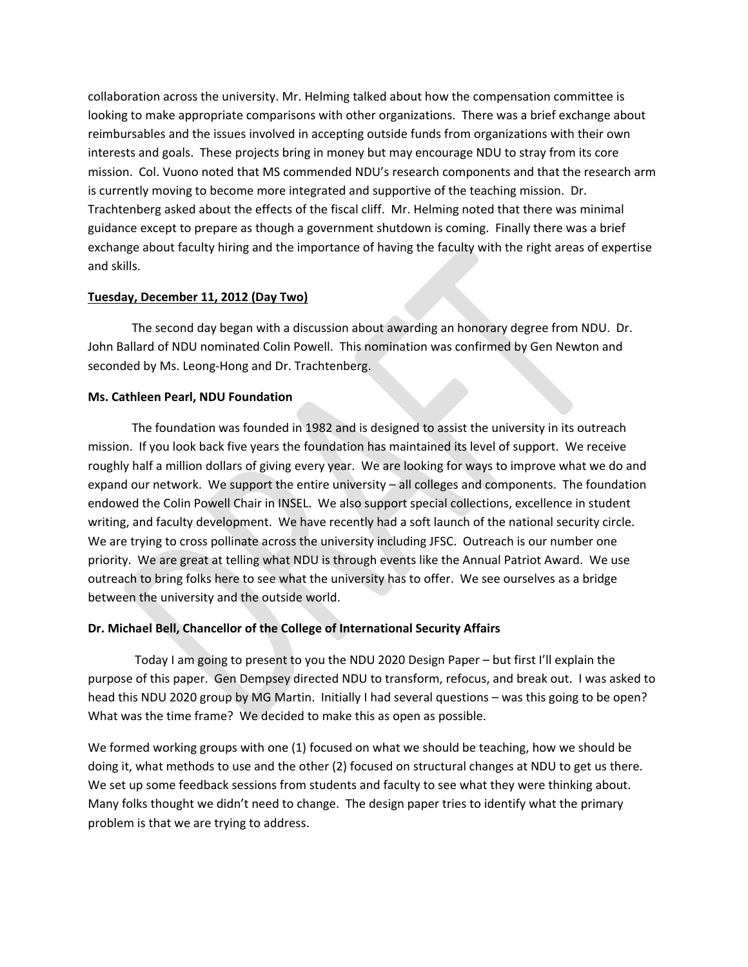collaboration across the university. Mr. Helming talked about how the compensation committee is looking to make appropriate comparisons with other organizations. There was a brief exchange about reimbursables and the issues involved in accepting outside funds from organizations with their own interests and goals. These projects bring in money but may encourage NDU to stray from its core mission. Col. Vuono noted that MS commended NDU's research components and that the research arm is currently moving to become more integrated and supportive of the teaching mission. Dr. Trachtenberg asked about the effects of the fiscal cliff. Mr. Helming noted that there was minimal guidance except to prepare as though a government shutdown is coming. Finally there was a brief exchange about faculty hiring and the importance of having the faculty with the right areas of expertise and skills.

#### **Tuesday, December 11, 2012 (Day Two)**

The second day began with a discussion about awarding an honorary degree from NDU. Dr. John Ballard of NDU nominated Colin Powell. This nomination was confirmed by Gen Newton and seconded by Ms. Leong‐Hong and Dr. Trachtenberg.

#### **Ms. Cathleen Pearl, NDU Foundation**

The foundation was founded in 1982 and is designed to assist the university in its outreach mission. If you look back five years the foundation has maintained its level of support. We receive roughly half a million dollars of giving every year. We are looking for ways to improve what we do and expand our network. We support the entire university – all colleges and components. The foundation endowed the Colin Powell Chair in INSEL. We also support special collections, excellence in student writing, and faculty development. We have recently had a soft launch of the national security circle. We are trying to cross pollinate across the university including JFSC. Outreach is our number one priority. We are great at telling what NDU is through events like the Annual Patriot Award. We use outreach to bring folks here to see what the university has to offer. We see ourselves as a bridge between the university and the outside world.

#### **Dr. Michael Bell, Chancellor of the College of International Security Affairs**

 Today I am going to present to you the NDU 2020 Design Paper – but first I'll explain the purpose of this paper. Gen Dempsey directed NDU to transform, refocus, and break out. I was asked to head this NDU 2020 group by MG Martin. Initially I had several questions – was this going to be open? What was the time frame? We decided to make this as open as possible.

We formed working groups with one (1) focused on what we should be teaching, how we should be doing it, what methods to use and the other (2) focused on structural changes at NDU to get us there. We set up some feedback sessions from students and faculty to see what they were thinking about. Many folks thought we didn't need to change. The design paper tries to identify what the primary problem is that we are trying to address.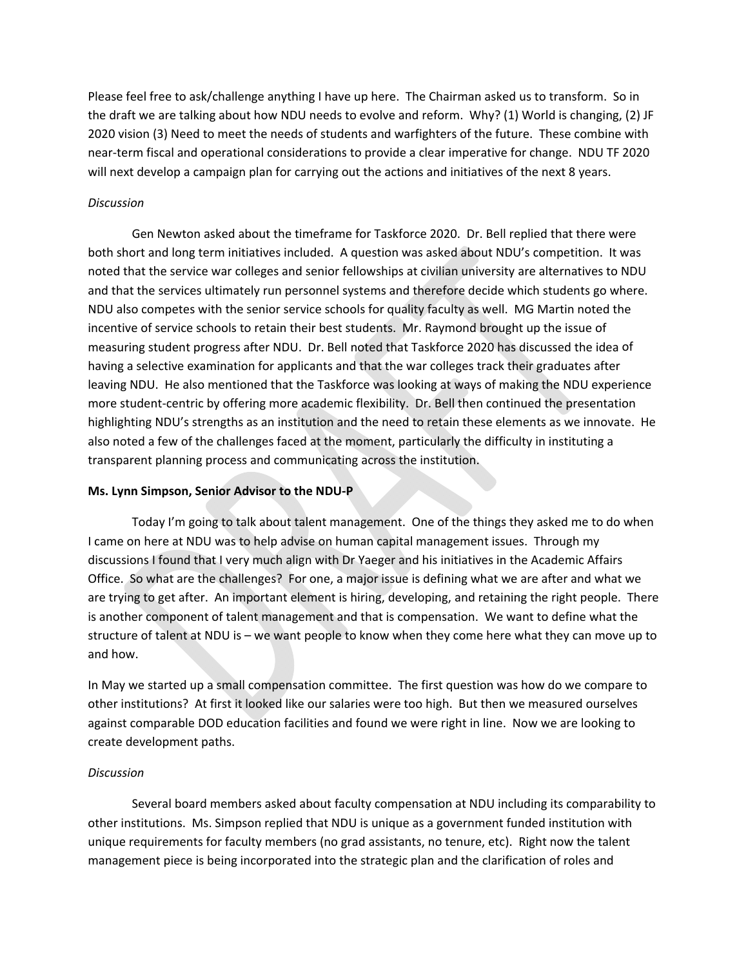Please feel free to ask/challenge anything I have up here. The Chairman asked us to transform. So in the draft we are talking about how NDU needs to evolve and reform. Why? (1) World is changing, (2) JF 2020 vision (3) Need to meet the needs of students and warfighters of the future. These combine with near-term fiscal and operational considerations to provide a clear imperative for change. NDU TF 2020 will next develop a campaign plan for carrying out the actions and initiatives of the next 8 years.

#### *Discussion*

Gen Newton asked about the timeframe for Taskforce 2020. Dr. Bell replied that there were both short and long term initiatives included. A question was asked about NDU's competition. It was noted that the service war colleges and senior fellowships at civilian university are alternatives to NDU and that the services ultimately run personnel systems and therefore decide which students go where. NDU also competes with the senior service schools for quality faculty as well. MG Martin noted the incentive of service schools to retain their best students. Mr. Raymond brought up the issue of measuring student progress after NDU. Dr. Bell noted that Taskforce 2020 has discussed the idea of having a selective examination for applicants and that the war colleges track their graduates after leaving NDU. He also mentioned that the Taskforce was looking at ways of making the NDU experience more student-centric by offering more academic flexibility. Dr. Bell then continued the presentation highlighting NDU's strengths as an institution and the need to retain these elements as we innovate. He also noted a few of the challenges faced at the moment, particularly the difficulty in instituting a transparent planning process and communicating across the institution.

#### **Ms. Lynn Simpson, Senior Advisor to the NDU‐P**

Today I'm going to talk about talent management. One of the things they asked me to do when I came on here at NDU was to help advise on human capital management issues. Through my discussions I found that I very much align with Dr Yaeger and his initiatives in the Academic Affairs Office. So what are the challenges? For one, a major issue is defining what we are after and what we are trying to get after. An important element is hiring, developing, and retaining the right people. There is another component of talent management and that is compensation. We want to define what the structure of talent at NDU is – we want people to know when they come here what they can move up to and how.

In May we started up a small compensation committee. The first question was how do we compare to other institutions? At first it looked like our salaries were too high. But then we measured ourselves against comparable DOD education facilities and found we were right in line. Now we are looking to create development paths.

#### *Discussion*

Several board members asked about faculty compensation at NDU including its comparability to other institutions. Ms. Simpson replied that NDU is unique as a government funded institution with unique requirements for faculty members (no grad assistants, no tenure, etc). Right now the talent management piece is being incorporated into the strategic plan and the clarification of roles and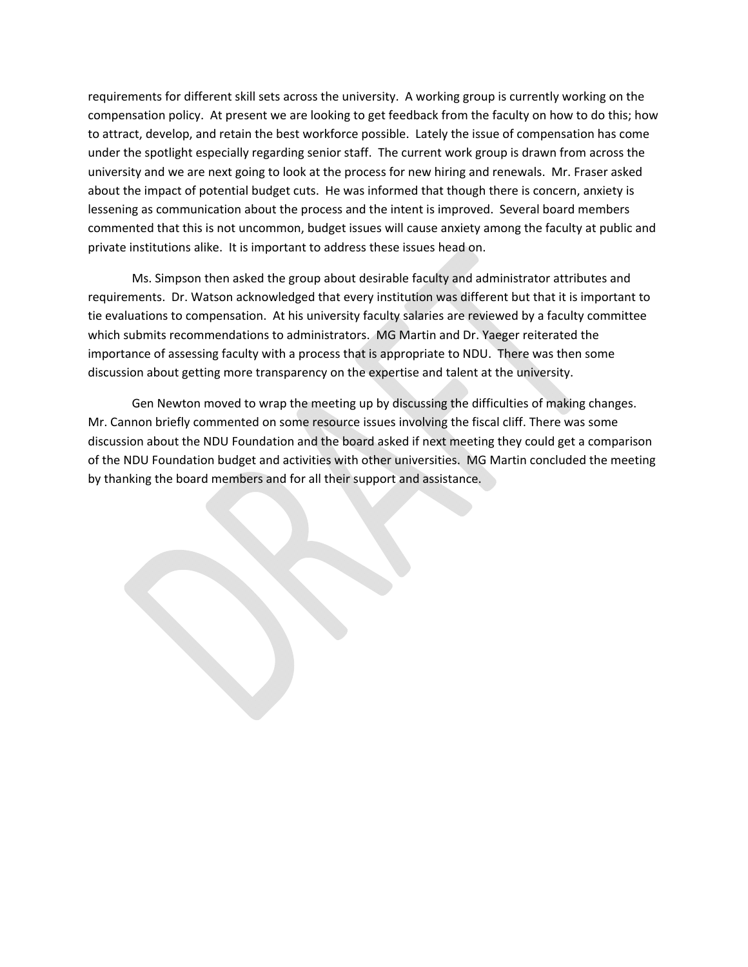requirements for different skill sets across the university. A working group is currently working on the compensation policy. At present we are looking to get feedback from the faculty on how to do this; how to attract, develop, and retain the best workforce possible. Lately the issue of compensation has come under the spotlight especially regarding senior staff. The current work group is drawn from across the university and we are next going to look at the process for new hiring and renewals. Mr. Fraser asked about the impact of potential budget cuts. He was informed that though there is concern, anxiety is lessening as communication about the process and the intent is improved. Several board members commented that this is not uncommon, budget issues will cause anxiety among the faculty at public and private institutions alike. It is important to address these issues head on.

Ms. Simpson then asked the group about desirable faculty and administrator attributes and requirements. Dr. Watson acknowledged that every institution was different but that it is important to tie evaluations to compensation. At his university faculty salaries are reviewed by a faculty committee which submits recommendations to administrators. MG Martin and Dr. Yaeger reiterated the importance of assessing faculty with a process that is appropriate to NDU. There was then some discussion about getting more transparency on the expertise and talent at the university.

Gen Newton moved to wrap the meeting up by discussing the difficulties of making changes. Mr. Cannon briefly commented on some resource issues involving the fiscal cliff. There was some discussion about the NDU Foundation and the board asked if next meeting they could get a comparison of the NDU Foundation budget and activities with other universities. MG Martin concluded the meeting by thanking the board members and for all their support and assistance.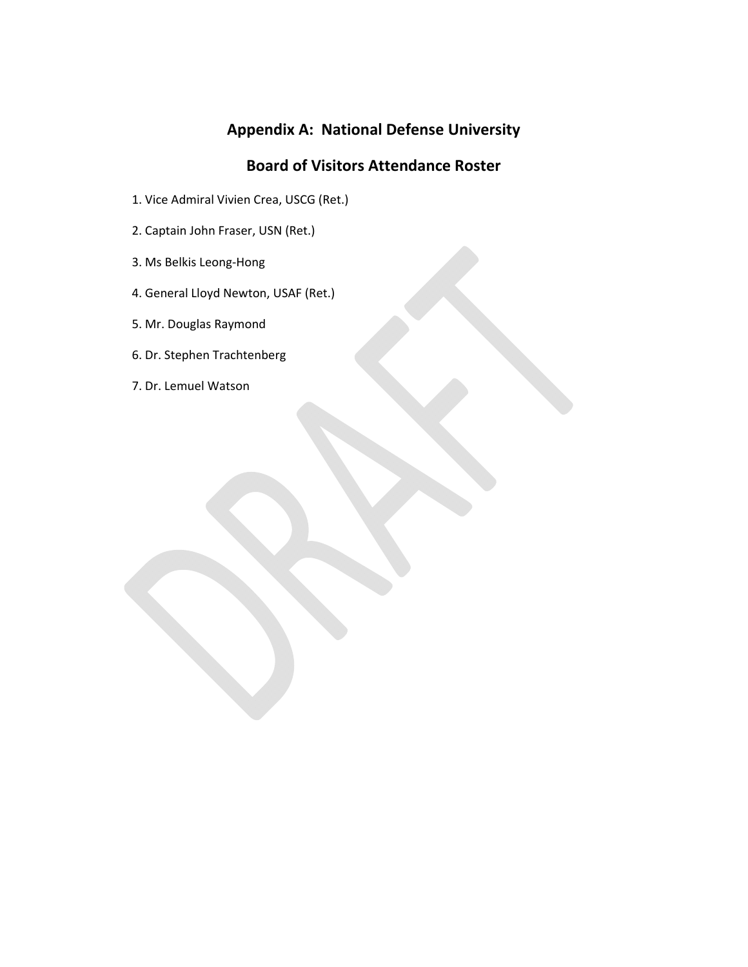# **Appendix A: National Defense University**

## **Board of Visitors Attendance Roster**

- 1. Vice Admiral Vivien Crea, USCG (Ret.)
- 2. Captain John Fraser, USN (Ret.)
- 3. Ms Belkis Leong‐Hong
- 4. General Lloyd Newton, USAF (Ret.)
- 5. Mr. Douglas Raymond
- 6. Dr. Stephen Trachtenberg
- 7. Dr. Lemuel Watson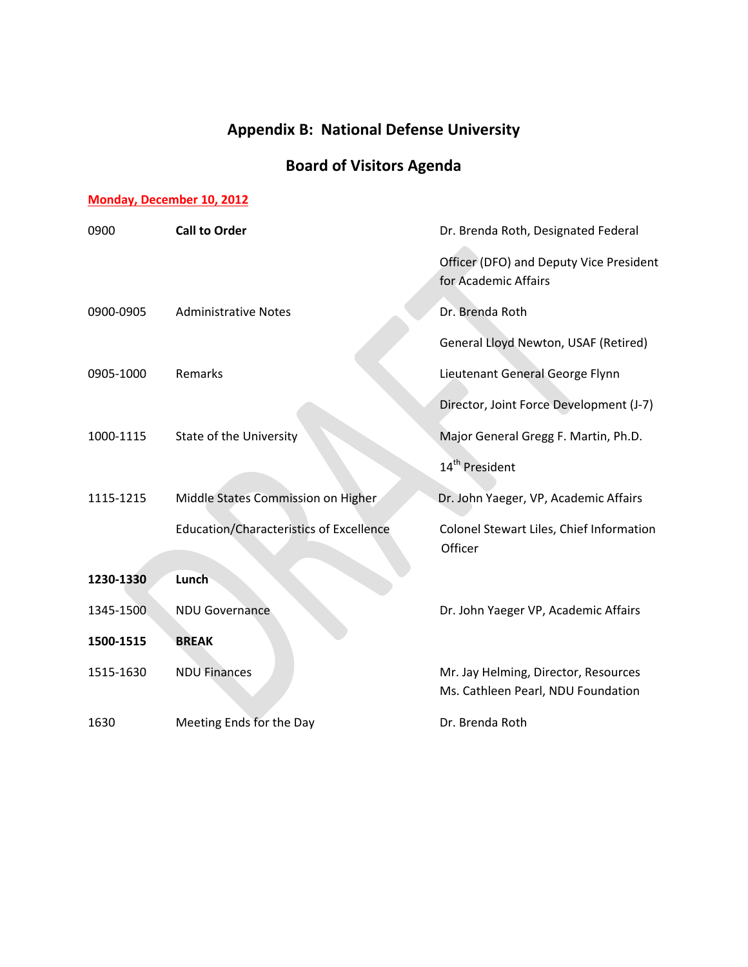# **Appendix B: National Defense University**

# **Board of Visitors Agenda**

## **Monday, December 10, 2012**

| 0900      | <b>Call to Order</b>                           | Dr. Brenda Roth, Designated Federal                                        |
|-----------|------------------------------------------------|----------------------------------------------------------------------------|
|           |                                                | Officer (DFO) and Deputy Vice President<br>for Academic Affairs            |
| 0900-0905 | <b>Administrative Notes</b>                    | Dr. Brenda Roth                                                            |
|           |                                                | General Lloyd Newton, USAF (Retired)                                       |
| 0905-1000 | Remarks                                        | Lieutenant General George Flynn                                            |
|           |                                                | Director, Joint Force Development (J-7)                                    |
| 1000-1115 | <b>State of the University</b>                 | Major General Gregg F. Martin, Ph.D.                                       |
|           |                                                | 14 <sup>th</sup> President                                                 |
| 1115-1215 | Middle States Commission on Higher             | Dr. John Yaeger, VP, Academic Affairs                                      |
|           | <b>Education/Characteristics of Excellence</b> | Colonel Stewart Liles, Chief Information<br>Officer                        |
| 1230-1330 | Lunch                                          |                                                                            |
| 1345-1500 | <b>NDU Governance</b>                          | Dr. John Yaeger VP, Academic Affairs                                       |
| 1500-1515 | <b>BREAK</b>                                   |                                                                            |
| 1515-1630 | <b>NDU Finances</b>                            | Mr. Jay Helming, Director, Resources<br>Ms. Cathleen Pearl, NDU Foundation |
|           |                                                |                                                                            |